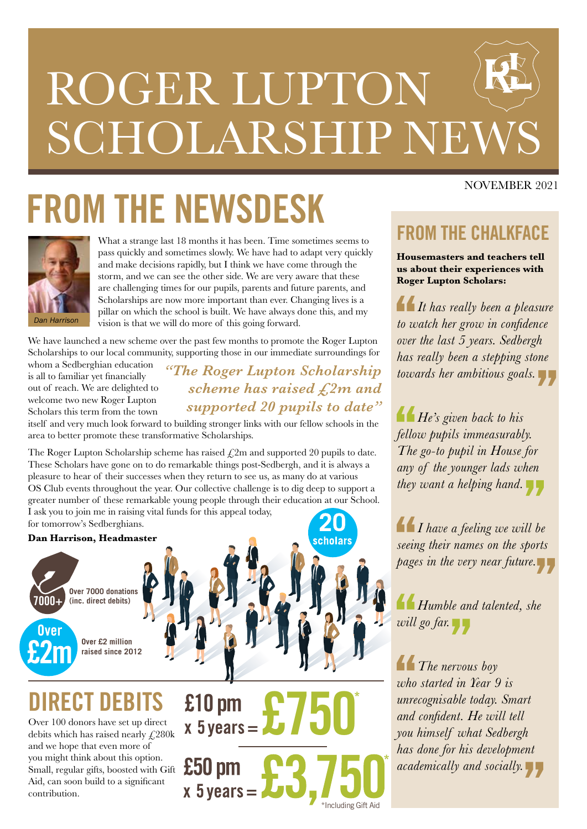# ROGER LUPTON SCHOLARSHIP NEW

## **FROM THE NEWSDESK**



What a strange last 18 months it has been. Time sometimes seems to pass quickly and sometimes slowly. We have had to adapt very quickly and make decisions rapidly, but I think we have come through the storm, and we can see the other side. We are very aware that these are challenging times for our pupils, parents and future parents, and Scholarships are now more important than ever. Changing lives is a pillar on which the school is built. We have always done this, and my vision is that we will do more of this going forward.

We have launched a new scheme over the past few months to promote the Roger Lupton Scholarships to our local community, supporting those in our immediate surroundings for

whom a Sedberghian education is all to familiar yet financially out of reach. We are delighted to welcome two new Roger Lupton Scholars this term from the town

*"The Roger Lupton Scholarship scheme has raised £2m and supported 20 pupils to date"*

itself and very much look forward to building stronger links with our fellow schools in the area to better promote these transformative Scholarships.

The Roger Lupton Scholarship scheme has raised  $\text{\textsterling}2m$  and supported 20 pupils to date. These Scholars have gone on to do remarkable things post-Sedbergh, and it is always a pleasure to hear of their successes when they return to see us, as many do at various OS Club events throughout the year. Our collective challenge is to dig deep to support a greater number of these remarkable young people through their education at our School. I ask you to join me in raising vital funds for this appeal today, for tomorrow's Sedberghians.

#### **Dan Harrison, Headmaster**



**DIRECT DEBITS**

Over 100 donors have set up direct debits which has raised nearly £280k and we hope that even more of you might think about this option. Small, regular gifts, boosted with Gift Aid, can soon build to a significant contribution.



\*Including Gift Aid

cholar

#### NOVEMBER 2021

#### **FROM THE CHALKFACE**

**Housemasters and teachers tell us about their experiences with Roger Lupton Scholars:**

*It has really been a pleasure to watch her grow in confidence over the last 5 years. Sedbergh has really been a stepping stone towards her ambitious goals.*

*He's given back to his fellow pupils immeasurably. The go-to pupil in House for any of the younger lads when they want a helping hand.*

*I have a feeling we will be seeing their names on the sports pages in the very near future.*

*Humble and talented, she will go far.*

*The nervous boy who started in Year 9 is unrecognisable today. Smart and confident. He will tell you himself what Sedbergh has done for his development academically and socially.*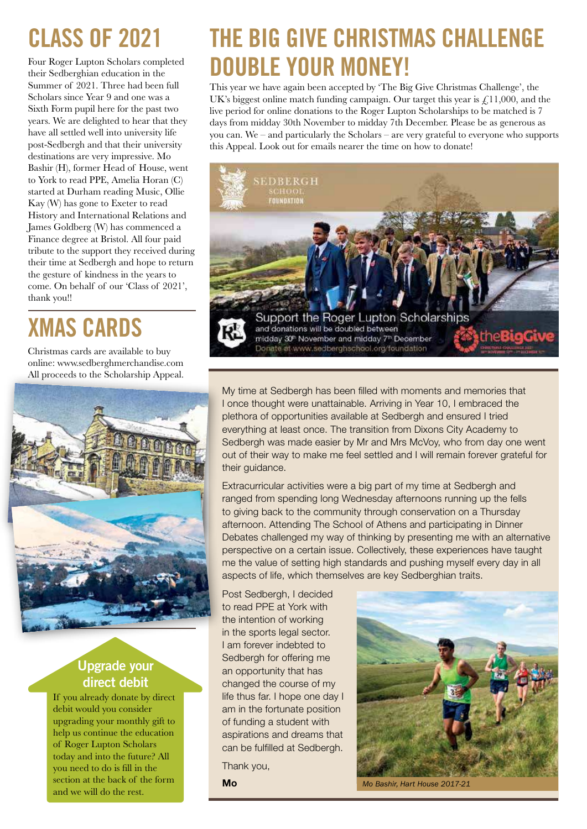## **CLASS OF 2021**

Four Roger Lupton Scholars completed their Sedberghian education in the Summer of 2021. Three had been full Scholars since Year 9 and one was a Sixth Form pupil here for the past two years. We are delighted to hear that they have all settled well into university life post-Sedbergh and that their university destinations are very impressive. Mo Bashir (H), former Head of House, went to York to read PPE, Amelia Horan (C) started at Durham reading Music, Ollie Kay (W) has gone to Exeter to read History and International Relations and James Goldberg (W) has commenced a Finance degree at Bristol. All four paid tribute to the support they received during their time at Sedbergh and hope to return the gesture of kindness in the years to come. On behalf of our 'Class of 2021', thank you!!

## **XMAS CARDS**

Christmas cards are available to buy online: www.sedberghmerchandise.com All proceeds to the Scholarship Appeal.



#### **Upgrade your direct debit**

If you already donate by direct debit would you consider upgrading your monthly gift to help us continue the education of Roger Lupton Scholars today and into the future? All you need to do is fill in the section at the back of the form and we will do the rest.

### **THE BIG GIVE CHRISTMAS CHALLENGE DOUBLE YOUR MONEY!**

This year we have again been accepted by 'The Big Give Christmas Challenge', the UK's biggest online match funding campaign. Our target this year is  $\mathcal{L}$ , 11,000, and the live period for online donations to the Roger Lupton Scholarships to be matched is 7 days from midday 30th November to midday 7th December. Please be as generous as you can. We – and particularly the Scholars – are very grateful to everyone who supports this Appeal. Look out for emails nearer the time on how to donate!



My time at Sedbergh has been filled with moments and memories that I once thought were unattainable. Arriving in Year 10, I embraced the plethora of opportunities available at Sedbergh and ensured I tried everything at least once. The transition from Dixons City Academy to Sedbergh was made easier by Mr and Mrs McVoy, who from day one went out of their way to make me feel settled and I will remain forever grateful for their guidance.

Extracurricular activities were a big part of my time at Sedbergh and ranged from spending long Wednesday afternoons running up the fells to giving back to the community through conservation on a Thursday afternoon. Attending The School of Athens and participating in Dinner Debates challenged my way of thinking by presenting me with an alternative perspective on a certain issue. Collectively, these experiences have taught me the value of setting high standards and pushing myself every day in all aspects of life, which themselves are key Sedberghian traits.

Post Sedbergh, I decided to read PPE at York with the intention of working in the sports legal sector. I am forever indebted to Sedbergh for offering me an opportunity that has changed the course of my life thus far. I hope one day I am in the fortunate position of funding a student with aspirations and dreams that can be fulfilled at Sedbergh.

Thank you,

**Mo**



*Mo Bashir, Hart House 2017-21*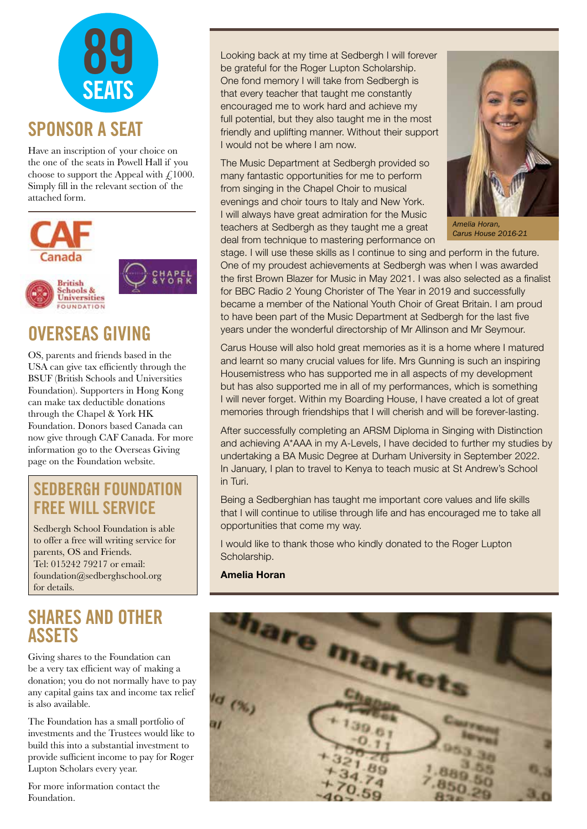

Have an inscription of your choice on the one of the seats in Powell Hall if you choose to support the Appeal with  $\ell$ 1000. Simply fill in the relevant section of the attached form.



#### **OVERSEAS GIVING**

OS, parents and friends based in the USA can give tax efficiently through the BSUF (British Schools and Universities Foundation). Supporters in Hong Kong can make tax deductible donations through the Chapel & York HK Foundation. Donors based Canada can now give through CAF Canada. For more information go to the Overseas Giving page on the Foundation website.

#### **SEDBERGH FOUNDATION FREE WILL SERVICE**

Sedbergh School Foundation is able to offer a free will writing service for parents, OS and Friends. Tel: 015242 79217 or email: foundation@sedberghschool.org for details.

#### **SHARES AND OTHER ASSETS**

Giving shares to the Foundation can be a very tax efficient way of making a donation; you do not normally have to pay any capital gains tax and income tax relief is also available.

The Foundation has a small portfolio of investments and the Trustees would like to build this into a substantial investment to provide sufficient income to pay for Roger Lupton Scholars every year.

For more information contact the Foundation.

Looking back at my time at Sedbergh I will forever be grateful for the Roger Lupton Scholarship. One fond memory I will take from Sedbergh is that every teacher that taught me constantly encouraged me to work hard and achieve my full potential, but they also taught me in the most friendly and uplifting manner. Without their support I would not be where I am now.

The Music Department at Sedbergh provided so many fantastic opportunities for me to perform from singing in the Chapel Choir to musical evenings and choir tours to Italy and New York. I will always have great admiration for the Music teachers at Sedbergh as they taught me a great deal from technique to mastering performance on



*Amelia Horan, Carus House 2016-21* 

stage. I will use these skills as I continue to sing and perform in the future. One of my proudest achievements at Sedbergh was when I was awarded the first Brown Blazer for Music in May 2021. I was also selected as a finalist for BBC Radio 2 Young Chorister of The Year in 2019 and successfully became a member of the National Youth Choir of Great Britain. I am proud to have been part of the Music Department at Sedbergh for the last five years under the wonderful directorship of Mr Allinson and Mr Seymour.

Carus House will also hold great memories as it is a home where I matured and learnt so many crucial values for life. Mrs Gunning is such an inspiring Housemistress who has supported me in all aspects of my development but has also supported me in all of my performances, which is something I will never forget. Within my Boarding House, I have created a lot of great memories through friendships that I will cherish and will be forever-lasting.

After successfully completing an ARSM Diploma in Singing with Distinction and achieving A\*AAA in my A-Levels, I have decided to further my studies by undertaking a BA Music Degree at Durham University in September 2022. In January, I plan to travel to Kenya to teach music at St Andrew's School in Turi.

Being a Sedberghian has taught me important core values and life skills that I will continue to utilise through life and has encouraged me to take all opportunities that come my way.

I would like to thank those who kindly donated to the Roger Lupton Scholarship.

**Amelia Horan**

hare mar